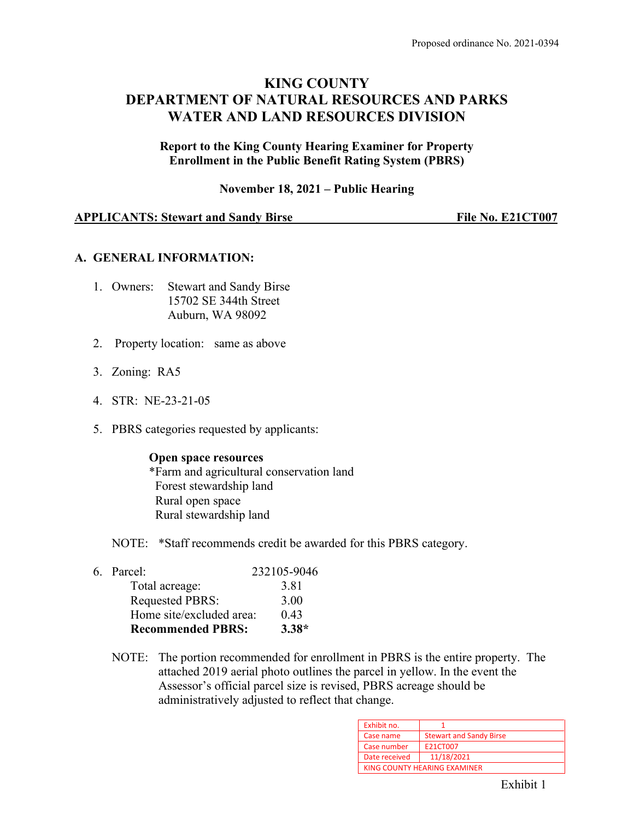# **KING COUNTY DEPARTMENT OF NATURAL RESOURCES AND PARKS WATER AND LAND RESOURCES DIVISION**

**Report to the King County Hearing Examiner for Property Enrollment in the Public Benefit Rating System (PBRS)**

**November 18, 2021 – Public Hearing**

#### **APPLICANTS: Stewart and Sandy Birse File No. E21CT007**

#### **A. GENERAL INFORMATION:**

- 1. Owners: Stewart and Sandy Birse 15702 SE 344th Street Auburn, WA 98092
- 2. Property location: same as above
- 3. Zoning: RA5
- 4. STR: NE-23-21-05
- 5. PBRS categories requested by applicants:

#### **Open space resources**

\*Farm and agricultural conservation land Forest stewardship land Rural open space Rural stewardship land

NOTE: \*Staff recommends credit be awarded for this PBRS category.

| <b>Recommended PBRS:</b> | $3.38*$     |
|--------------------------|-------------|
| Home site/excluded area: | 0.43        |
| <b>Requested PBRS:</b>   | 3.00        |
| Total acreage:           | 3.81        |
| 6. Parcel:               | 232105-9046 |

NOTE: The portion recommended for enrollment in PBRS is the entire property. The attached 2019 aerial photo outlines the parcel in yellow. In the event the Assessor's official parcel size is revised, PBRS acreage should be administratively adjusted to reflect that change.

| Exhibit no.   |                                |
|---------------|--------------------------------|
| Case name     | <b>Stewart and Sandy Birse</b> |
| Case number   | E21CT007                       |
| Date received | 11/18/2021                     |
|               | KING COUNTY HEARING EXAMINER   |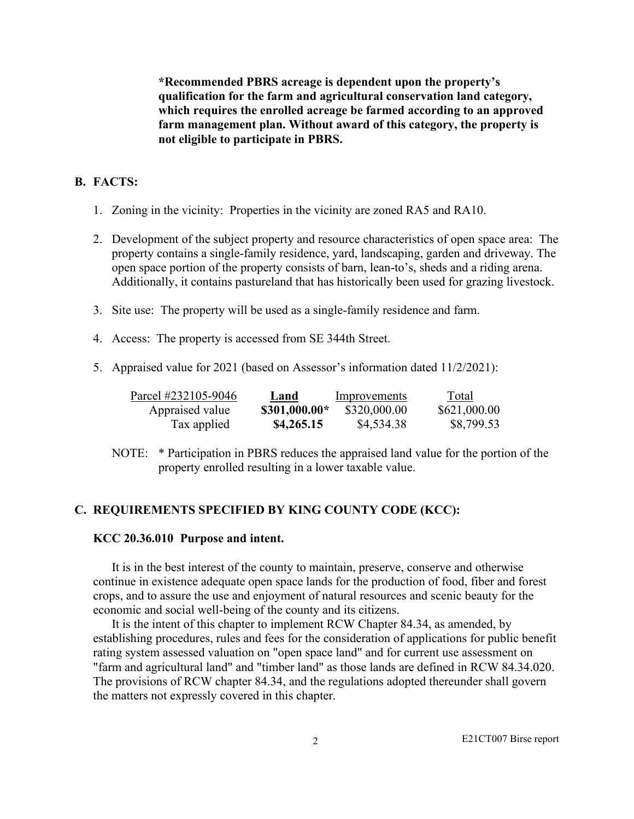**\*Recommended PBRS acreage is dependent upon the property's qualification for the farm and agricultural conservation land category, which requires the enrolled acreage be farmed according to an approved farm management plan. Without award of this category, the property is not eligible to participate in PBRS.**

### **B. FACTS:**

- 1. Zoning in the vicinity: Properties in the vicinity are zoned RA5 and RA10.
- 2. Development of the subject property and resource characteristics of open space area: The property contains a single-family residence, yard, landscaping, garden and driveway. The open space portion of the property consists of barn, lean-to's, sheds and a riding arena. Additionally, it contains pastureland that has historically been used for grazing livestock.
- 3. Site use: The property will be used as a single-family residence and farm.
- 4. Access: The property is accessed from SE 344th Street.
- 5. Appraised value for 2021 (based on Assessor's information dated 11/2/2021):

| Parcel #232105-9046 | Land          | Improvements | Total        |
|---------------------|---------------|--------------|--------------|
| Appraised value     | \$301,000.00* | \$320,000.00 | \$621,000.00 |
| Tax applied         | \$4,265.15    | \$4,534.38   | \$8,799.53   |

NOTE: \* Participation in PBRS reduces the appraised land value for the portion of the property enrolled resulting in a lower taxable value.

#### **C. REQUIREMENTS SPECIFIED BY KING COUNTY CODE (KCC):**

#### **KCC 20.36.010 Purpose and intent.**

 It is in the best interest of the county to maintain, preserve, conserve and otherwise continue in existence adequate open space lands for the production of food, fiber and forest crops, and to assure the use and enjoyment of natural resources and scenic beauty for the economic and social well-being of the county and its citizens.

 It is the intent of this chapter to implement RCW Chapter 84.34, as amended, by establishing procedures, rules and fees for the consideration of applications for public benefit rating system assessed valuation on "open space land" and for current use assessment on "farm and agricultural land" and "timber land" as those lands are defined in RCW 84.34.020. The provisions of RCW chapter 84.34, and the regulations adopted thereunder shall govern the matters not expressly covered in this chapter.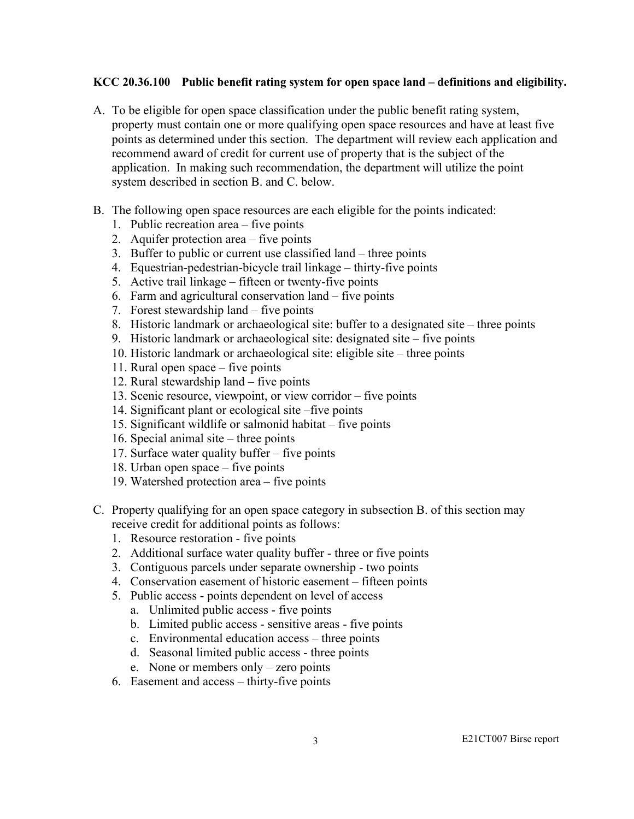#### **KCC 20.36.100 Public benefit rating system for open space land – definitions and eligibility.**

- A. To be eligible for open space classification under the public benefit rating system, property must contain one or more qualifying open space resources and have at least five points as determined under this section. The department will review each application and recommend award of credit for current use of property that is the subject of the application. In making such recommendation, the department will utilize the point system described in section B. and C. below.
- B. The following open space resources are each eligible for the points indicated:
	- 1. Public recreation area five points
	- 2. Aquifer protection area five points
	- 3. Buffer to public or current use classified land three points
	- 4. Equestrian-pedestrian-bicycle trail linkage thirty-five points
	- 5. Active trail linkage fifteen or twenty-five points
	- 6. Farm and agricultural conservation land five points
	- 7. Forest stewardship land five points
	- 8. Historic landmark or archaeological site: buffer to a designated site three points
	- 9. Historic landmark or archaeological site: designated site five points
	- 10. Historic landmark or archaeological site: eligible site three points
	- 11. Rural open space five points
	- 12. Rural stewardship land five points
	- 13. Scenic resource, viewpoint, or view corridor five points
	- 14. Significant plant or ecological site –five points
	- 15. Significant wildlife or salmonid habitat five points
	- 16. Special animal site three points
	- 17. Surface water quality buffer five points
	- 18. Urban open space five points
	- 19. Watershed protection area five points
- C. Property qualifying for an open space category in subsection B. of this section may receive credit for additional points as follows:
	- 1. Resource restoration five points
	- 2. Additional surface water quality buffer three or five points
	- 3. Contiguous parcels under separate ownership two points
	- 4. Conservation easement of historic easement fifteen points
	- 5. Public access points dependent on level of access
		- a. Unlimited public access five points
		- b. Limited public access sensitive areas five points
		- c. Environmental education access three points
		- d. Seasonal limited public access three points
		- e. None or members only zero points
	- 6. Easement and access thirty-five points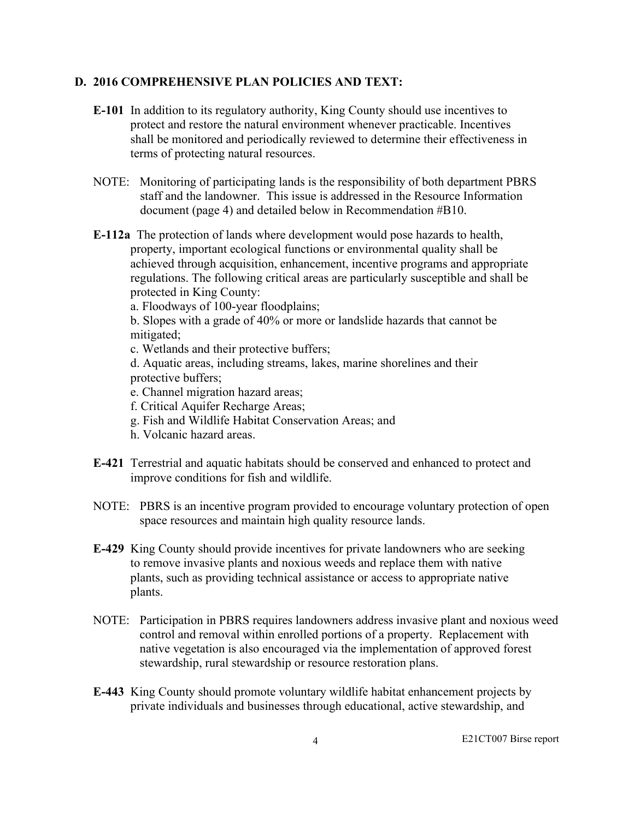#### **D. 2016 COMPREHENSIVE PLAN POLICIES AND TEXT:**

- **E-101** In addition to its regulatory authority, King County should use incentives to protect and restore the natural environment whenever practicable. Incentives shall be monitored and periodically reviewed to determine their effectiveness in terms of protecting natural resources.
- NOTE: Monitoring of participating lands is the responsibility of both department PBRS staff and the landowner. This issue is addressed in the Resource Information document (page 4) and detailed below in Recommendation #B10.
- **E-112a** The protection of lands where development would pose hazards to health, property, important ecological functions or environmental quality shall be achieved through acquisition, enhancement, incentive programs and appropriate regulations. The following critical areas are particularly susceptible and shall be protected in King County:

a. Floodways of 100-year floodplains;

b. Slopes with a grade of 40% or more or landslide hazards that cannot be mitigated;

c. Wetlands and their protective buffers;

d. Aquatic areas, including streams, lakes, marine shorelines and their protective buffers;

- e. Channel migration hazard areas;
- f. Critical Aquifer Recharge Areas;
- g. Fish and Wildlife Habitat Conservation Areas; and
- h. Volcanic hazard areas.
- **E-421** Terrestrial and aquatic habitats should be conserved and enhanced to protect and improve conditions for fish and wildlife.
- NOTE: PBRS is an incentive program provided to encourage voluntary protection of open space resources and maintain high quality resource lands.
- **E-429** King County should provide incentives for private landowners who are seeking to remove invasive plants and noxious weeds and replace them with native plants, such as providing technical assistance or access to appropriate native plants.
- NOTE: Participation in PBRS requires landowners address invasive plant and noxious weed control and removal within enrolled portions of a property. Replacement with native vegetation is also encouraged via the implementation of approved forest stewardship, rural stewardship or resource restoration plans.
- **E-443** King County should promote voluntary wildlife habitat enhancement projects by private individuals and businesses through educational, active stewardship, and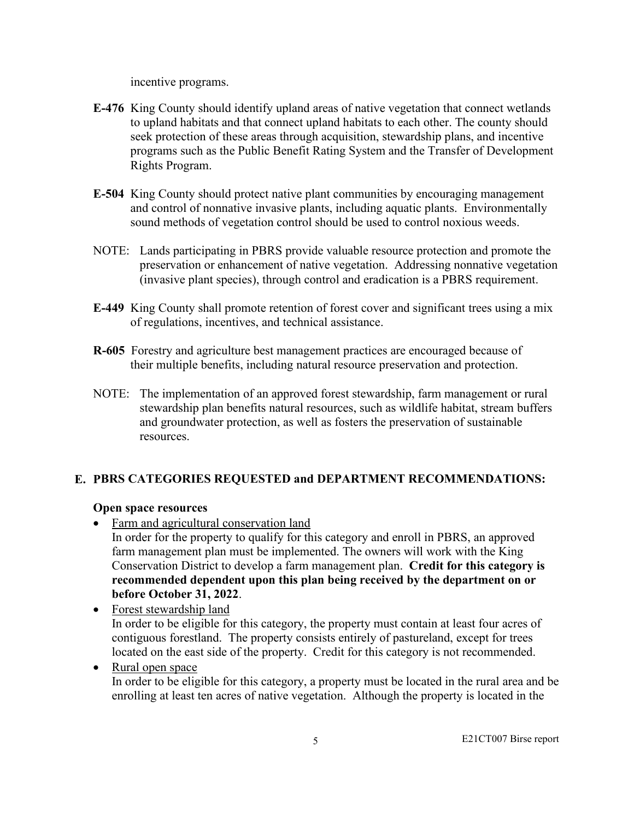incentive programs.

- **E-476** King County should identify upland areas of native vegetation that connect wetlands to upland habitats and that connect upland habitats to each other. The county should seek protection of these areas through acquisition, stewardship plans, and incentive programs such as the Public Benefit Rating System and the Transfer of Development Rights Program.
- **E-504** King County should protect native plant communities by encouraging management and control of nonnative invasive plants, including aquatic plants. Environmentally sound methods of vegetation control should be used to control noxious weeds.
- NOTE: Lands participating in PBRS provide valuable resource protection and promote the preservation or enhancement of native vegetation. Addressing nonnative vegetation (invasive plant species), through control and eradication is a PBRS requirement.
- **E-449** King County shall promote retention of forest cover and significant trees using a mix of regulations, incentives, and technical assistance.
- **R-605** Forestry and agriculture best management practices are encouraged because of their multiple benefits, including natural resource preservation and protection.
- NOTE: The implementation of an approved forest stewardship, farm management or rural stewardship plan benefits natural resources, such as wildlife habitat, stream buffers and groundwater protection, as well as fosters the preservation of sustainable resources.

## **E. PBRS CATEGORIES REQUESTED and DEPARTMENT RECOMMENDATIONS:**

#### **Open space resources**

- Farm and agricultural conservation land In order for the property to qualify for this category and enroll in PBRS, an approved farm management plan must be implemented. The owners will work with the King Conservation District to develop a farm management plan. **Credit for this category is recommended dependent upon this plan being received by the department on or before October 31, 2022**.
- Forest stewardship land In order to be eligible for this category, the property must contain at least four acres of contiguous forestland. The property consists entirely of pastureland, except for trees located on the east side of the property. Credit for this category is not recommended.
- Rural open space In order to be eligible for this category, a property must be located in the rural area and be enrolling at least ten acres of native vegetation. Although the property is located in the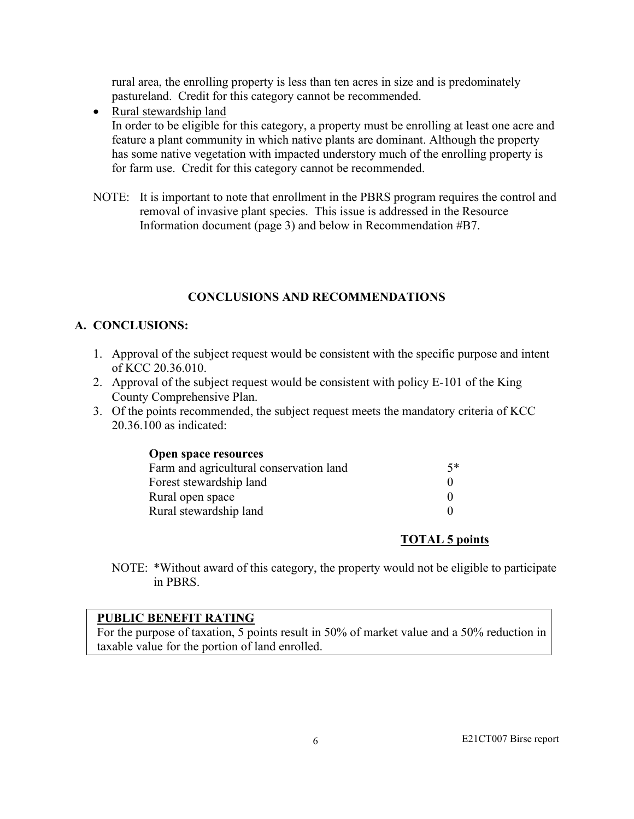rural area, the enrolling property is less than ten acres in size and is predominately pastureland. Credit for this category cannot be recommended.

- Rural stewardship land In order to be eligible for this category, a property must be enrolling at least one acre and feature a plant community in which native plants are dominant. Although the property has some native vegetation with impacted understory much of the enrolling property is for farm use. Credit for this category cannot be recommended.
- NOTE: It is important to note that enrollment in the PBRS program requires the control and removal of invasive plant species. This issue is addressed in the Resource Information document (page 3) and below in Recommendation #B7.

## **CONCLUSIONS AND RECOMMENDATIONS**

## **A. CONCLUSIONS:**

- 1. Approval of the subject request would be consistent with the specific purpose and intent of KCC 20.36.010.
- 2. Approval of the subject request would be consistent with policy E-101 of the King County Comprehensive Plan.
- 3. Of the points recommended, the subject request meets the mandatory criteria of KCC 20.36.100 as indicated:

| Open space resources |
|----------------------|
|----------------------|

| Farm and agricultural conservation land | 5* |
|-----------------------------------------|----|
| Forest stewardship land                 |    |
| Rural open space                        |    |
| Rural stewardship land                  |    |

## **TOTAL 5 points**

NOTE: \*Without award of this category, the property would not be eligible to participate in PBRS.

## **PUBLIC BENEFIT RATING**

For the purpose of taxation, 5 points result in 50% of market value and a 50% reduction in taxable value for the portion of land enrolled.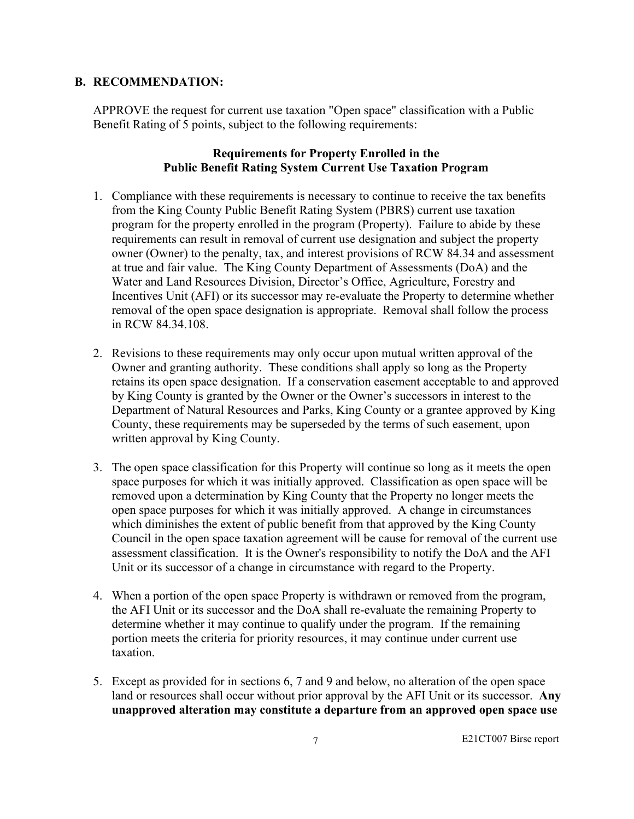### **B. RECOMMENDATION:**

APPROVE the request for current use taxation "Open space" classification with a Public Benefit Rating of 5 points, subject to the following requirements:

### **Requirements for Property Enrolled in the Public Benefit Rating System Current Use Taxation Program**

- 1. Compliance with these requirements is necessary to continue to receive the tax benefits from the King County Public Benefit Rating System (PBRS) current use taxation program for the property enrolled in the program (Property). Failure to abide by these requirements can result in removal of current use designation and subject the property owner (Owner) to the penalty, tax, and interest provisions of RCW 84.34 and assessment at true and fair value. The King County Department of Assessments (DoA) and the Water and Land Resources Division, Director's Office, Agriculture, Forestry and Incentives Unit (AFI) or its successor may re-evaluate the Property to determine whether removal of the open space designation is appropriate. Removal shall follow the process in RCW 84.34.108.
- 2. Revisions to these requirements may only occur upon mutual written approval of the Owner and granting authority. These conditions shall apply so long as the Property retains its open space designation. If a conservation easement acceptable to and approved by King County is granted by the Owner or the Owner's successors in interest to the Department of Natural Resources and Parks, King County or a grantee approved by King County, these requirements may be superseded by the terms of such easement, upon written approval by King County.
- 3. The open space classification for this Property will continue so long as it meets the open space purposes for which it was initially approved. Classification as open space will be removed upon a determination by King County that the Property no longer meets the open space purposes for which it was initially approved. A change in circumstances which diminishes the extent of public benefit from that approved by the King County Council in the open space taxation agreement will be cause for removal of the current use assessment classification. It is the Owner's responsibility to notify the DoA and the AFI Unit or its successor of a change in circumstance with regard to the Property.
- 4. When a portion of the open space Property is withdrawn or removed from the program, the AFI Unit or its successor and the DoA shall re-evaluate the remaining Property to determine whether it may continue to qualify under the program. If the remaining portion meets the criteria for priority resources, it may continue under current use taxation.
- 5. Except as provided for in sections 6, 7 and 9 and below, no alteration of the open space land or resources shall occur without prior approval by the AFI Unit or its successor. **Any unapproved alteration may constitute a departure from an approved open space use**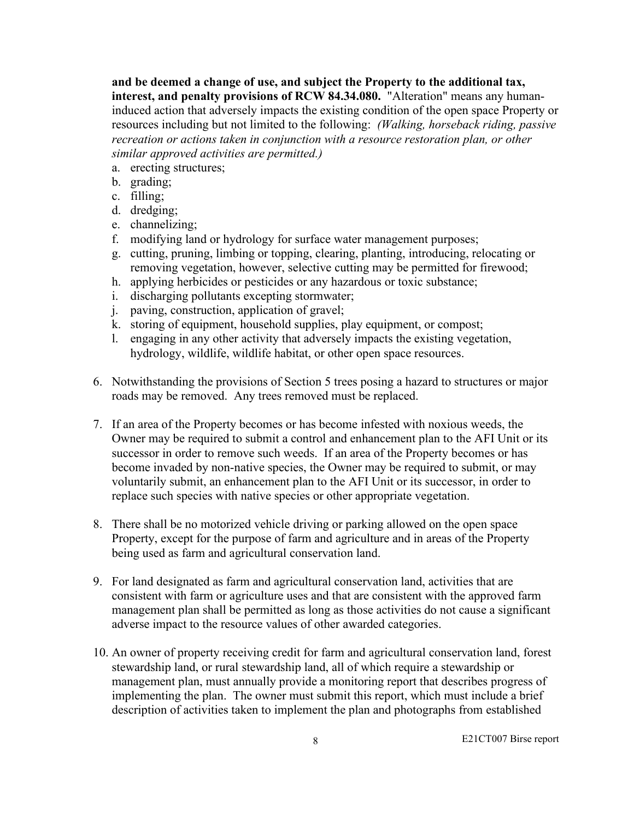**and be deemed a change of use, and subject the Property to the additional tax, interest, and penalty provisions of RCW 84.34.080.** "Alteration" means any humaninduced action that adversely impacts the existing condition of the open space Property or resources including but not limited to the following: *(Walking, horseback riding, passive recreation or actions taken in conjunction with a resource restoration plan, or other similar approved activities are permitted.)*

- a. erecting structures;
- b. grading;
- c. filling;
- d. dredging;
- e. channelizing;
- f. modifying land or hydrology for surface water management purposes;
- g. cutting, pruning, limbing or topping, clearing, planting, introducing, relocating or removing vegetation, however, selective cutting may be permitted for firewood;
- h. applying herbicides or pesticides or any hazardous or toxic substance;
- i. discharging pollutants excepting stormwater;
- j. paving, construction, application of gravel;
- k. storing of equipment, household supplies, play equipment, or compost;
- l. engaging in any other activity that adversely impacts the existing vegetation, hydrology, wildlife, wildlife habitat, or other open space resources.
- 6. Notwithstanding the provisions of Section 5 trees posing a hazard to structures or major roads may be removed. Any trees removed must be replaced.
- 7. If an area of the Property becomes or has become infested with noxious weeds, the Owner may be required to submit a control and enhancement plan to the AFI Unit or its successor in order to remove such weeds. If an area of the Property becomes or has become invaded by non-native species, the Owner may be required to submit, or may voluntarily submit, an enhancement plan to the AFI Unit or its successor, in order to replace such species with native species or other appropriate vegetation.
- 8. There shall be no motorized vehicle driving or parking allowed on the open space Property, except for the purpose of farm and agriculture and in areas of the Property being used as farm and agricultural conservation land.
- 9. For land designated as farm and agricultural conservation land, activities that are consistent with farm or agriculture uses and that are consistent with the approved farm management plan shall be permitted as long as those activities do not cause a significant adverse impact to the resource values of other awarded categories.
- 10. An owner of property receiving credit for farm and agricultural conservation land, forest stewardship land, or rural stewardship land, all of which require a stewardship or management plan, must annually provide a monitoring report that describes progress of implementing the plan. The owner must submit this report, which must include a brief description of activities taken to implement the plan and photographs from established